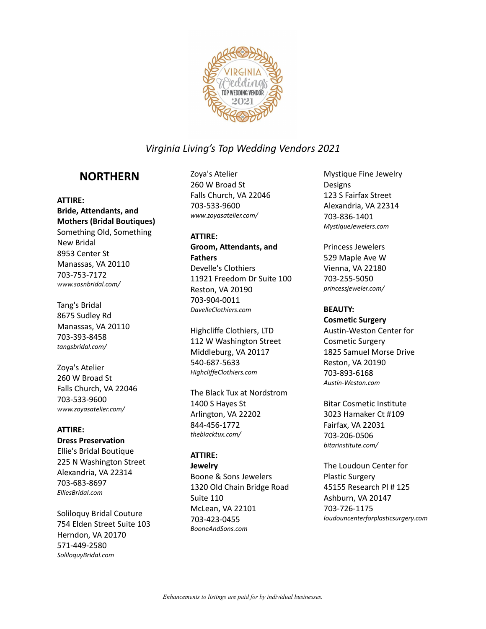

# **NORTHERN**

### **ATTIRE:**

**Bride, Attendants, and Mothers (Bridal Boutiques)** Something Old, Something New Bridal 8953 Center St Manassas, VA 20110 703-753-7172 *www.sosnbridal.com/*

Tang's Bridal 8675 Sudley Rd Manassas, VA 20110 703-393-8458 *tangsbridal.com/*

Zoya's Atelier 260 W Broad St Falls Church, VA 22046 703-533-9600 *www.zoyasatelier.com/*

## **ATTIRE:**

## **Dress Preservation**

Ellie's Bridal Boutique 225 N Washington Street Alexandria, VA 22314 703-683-8697 *ElliesBridal.com*

Soliloquy Bridal Couture 754 Elden Street Suite 103 Herndon, VA 20170 571-449-2580 *SoliloquyBridal.com*

Zoya's Atelier 260 W Broad St Falls Church, VA 22046 703-533-9600 *www.zoyasatelier.com/*

### **ATTIRE:**

**Groom, Attendants, and Fathers** Develle's Clothiers 11921 Freedom Dr Suite 100 Reston, VA 20190 703-904-0011 *DavelleClothiers.com*

Highcliffe Clothiers, LTD 112 W Washington Street Middleburg, VA 20117 540-687-5633 *HighcliffeClothiers.com*

The Black Tux at Nordstrom 1400 S Hayes St Arlington, VA 22202 844-456-1772 *theblacktux.com/*

## **ATTIRE:**

**Jewelry** Boone & Sons Jewelers 1320 Old Chain Bridge Road Suite 110 McLean, VA 22101 703-423-0455 *BooneAndSons.com*

Mystique Fine Jewelry Designs 123 S Fairfax Street Alexandria, VA 22314 703-836-1401 *MystiqueJewelers.com*

Princess Jewelers 529 Maple Ave W Vienna, VA 22180 703-255-5050 *princessjeweler.com/*

## **BEAUTY:**

**Cosmetic Surgery** Austin-Weston Center for Cosmetic Surgery 1825 Samuel Morse Drive Reston, VA 20190 703-893-6168 *Austin-Weston.com*

Bitar Cosmetic Institute 3023 Hamaker Ct #109 Fairfax, VA 22031 703-206-0506 *bitarinstitute.com/*

The Loudoun Center for Plastic Surgery 45155 Research Pl # 125 Ashburn, VA 20147 703-726-1175 *loudouncenterforplasticsurgery.com*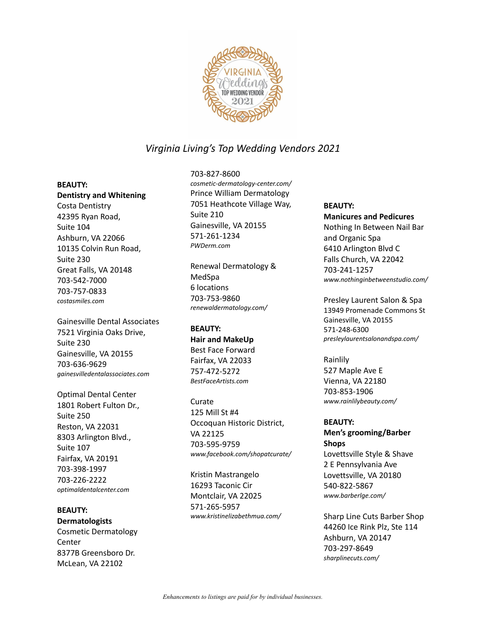

#### **BEAUTY:**

**Dentistry and Whitening** Costa Dentistry 42395 Ryan Road, Suite 104 Ashburn, VA 22066 10135 Colvin Run Road, Suite 230 Great Falls, VA 20148 703-542-7000 703-757-0833 *costasmiles.com*

Gainesville Dental Associates 7521 Virginia Oaks Drive, Suite 230 Gainesville, VA 20155 703-636-9629 *gainesvilledentalassociates.com*

Optimal Dental Center 1801 Robert Fulton Dr., Suite 250 Reston, VA 22031 8303 Arlington Blvd., Suite 107 Fairfax, VA 20191 703-398-1997 703-226-2222 *optimaldentalcenter.com*

**BEAUTY: Dermatologists** Cosmetic Dermatology **Center** 8377B Greensboro Dr. McLean, VA 22102

703-827-8600 *cosmetic-dermatology-center.com/* Prince William Dermatology 7051 Heathcote Village Way, Suite 210 Gainesville, VA 20155 571-261-1234 *PWDerm.com*

Renewal Dermatology & MedSpa 6 locations 703-753-9860 *renewaldermatology.com/*

## **BEAUTY:**

**Hair and MakeUp** Best Face Forward Fairfax, VA 22033 757-472-5272 *BestFaceArtists.com*

Curate 125 Mill St #4 Occoquan Historic District, VA 22125 703-595-9759 *www.facebook.com/shopatcurate/*

Kristin Mastrangelo 16293 Taconic Cir Montclair, VA 22025 571-265-5957 *www.kristinelizabethmua.com/*

#### **BEAUTY:**

**Manicures and Pedicures** Nothing In Between Nail Bar and Organic Spa 6410 Arlington Blvd C Falls Church, VA 22042 703-241-1257 *www.nothinginbetweenstudio.com/*

Presley Laurent Salon & Spa 13949 Promenade Commons St Gainesville, VA 20155 571-248-6300 *presleylaurentsalonandspa.com/*

Rainlily 527 Maple Ave E Vienna, VA 22180 703-853-1906 *www.rainlilybeauty.com/*

#### **BEAUTY:**

**Men's grooming/Barber Shops** Lovettsville Style & Shave 2 E Pennsylvania Ave Lovettsville, VA 20180

540-822-5867 *www.barberlge.com/*

Sharp Line Cuts Barber Shop 44260 Ice Rink Plz, Ste 114 Ashburn, VA 20147 703-297-8649 *sharplinecuts.com/*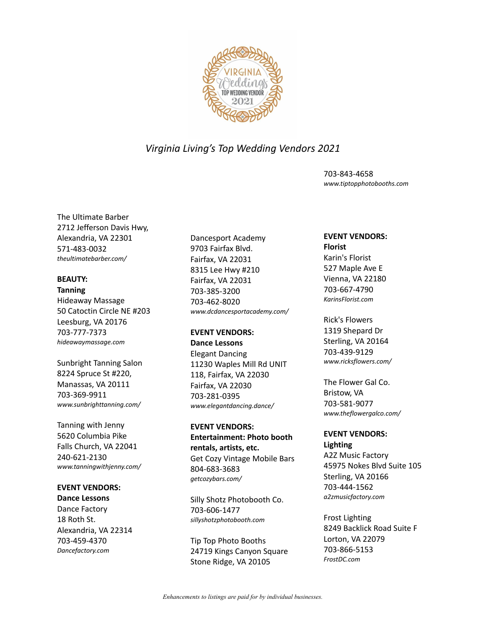

703-843-4658 *www.tiptopphotobooths.com*

The Ultimate Barber 2712 Jefferson Davis Hwy, Alexandria, VA 22301 571-483-0032 *theultimatebarber.com/*

#### **BEAUTY: Tanning**

Hideaway Massage 50 Catoctin Circle NE #203 Leesburg, VA 20176 703-777-7373 *hideawaymassage.com*

Sunbright Tanning Salon 8224 Spruce St #220, Manassas, VA 20111 703-369-9911 *www.sunbrighttanning.com/*

Tanning with Jenny 5620 Columbia Pike Falls Church, VA 22041 240-621-2130 *www.tanningwithjenny.com/*

## **EVENT VENDORS:**

**Dance Lessons** Dance Factory 18 Roth St. Alexandria, VA 22314 703-459-4370 *Dancefactory.com*

Dancesport Academy 9703 Fairfax Blvd. Fairfax, VA 22031 8315 Lee Hwy #210 Fairfax, VA 22031 703-385-3200 703-462-8020 *www.dcdancesportacademy.com/*

## **EVENT VENDORS:**

**Dance Lessons** Elegant Dancing 11230 Waples Mill Rd UNIT 118, Fairfax, VA 22030 Fairfax, VA 22030 703-281-0395 *www.elegantdancing.dance/*

**EVENT VENDORS: Entertainment: Photo booth rentals, artists, etc.** Get Cozy Vintage Mobile Bars 804-683-3683 *getcozybars.com/*

Silly Shotz Photobooth Co. 703-606-1477 *sillyshotzphotobooth.com*

Tip Top Photo Booths 24719 Kings Canyon Square Stone Ridge, VA 20105

## **EVENT VENDORS:**

**Florist** Karin's Florist 527 Maple Ave E Vienna, VA 22180 703-667-4790 *KarinsFlorist.com*

Rick's Flowers 1319 Shepard Dr Sterling, VA 20164 703-439-9129 *www.ricksflowers.com/*

The Flower Gal Co. Bristow, VA 703-581-9077 *www.theflowergalco.com/*

## **EVENT VENDORS: Lighting**

A2Z Music Factory 45975 Nokes Blvd Suite 105 Sterling, VA 20166 703-444-1562 *a2zmusicfactory.com*

Frost Lighting 8249 Backlick Road Suite F Lorton, VA 22079 703-866-5153 *FrostDC.com*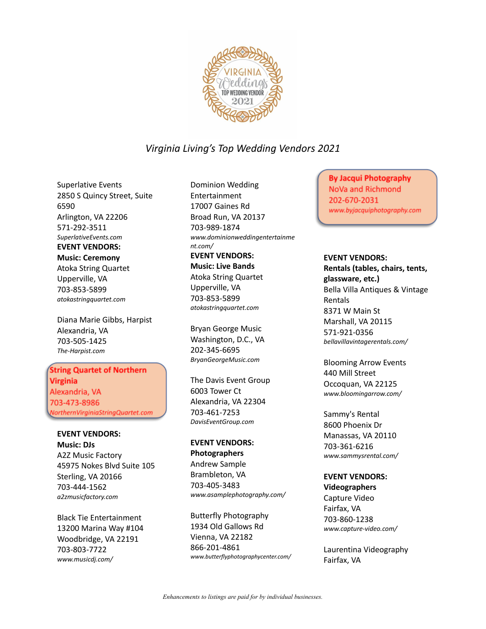

Superlative Events 2850 S Quincy Street, Suite 6590 Arlington, VA 22206 571-292-3511 *SuperlativeEvents.com* **EVENT VENDORS: Music: Ceremony** Atoka String Quartet Upperville, VA 703-853-5899 *atokastringquartet.com*

Diana Marie Gibbs, Harpist Alexandria, VA 703-505-1425 *The-Harpist.com*

String Quartet of Northern Virginia Alexandria, VA 703-473-8986 *NorthernVirginiaStringQuartet.com*

**EVENT VENDORS: Music: DJs** A2Z Music Factory 45975 Nokes Blvd Suite 105 Sterling, VA 20166 703-444-1562 *a2zmusicfactory.com*

Black Tie Entertainment 13200 Marina Way #104 Woodbridge, VA 22191 703-803-7722 *www.musicdj.com/*

Dominion Wedding Entertainment 17007 Gaines Rd Broad Run, VA 20137 703-989-1874 *www.dominionweddingentertainme nt.com/*

**EVENT VENDORS: Music: Live Bands** Atoka String Quartet Upperville, VA 703-853-5899 *atokastringquartet.com*

Bryan George Music Washington, D.C., VA 202-345-6695 *BryanGeorgeMusic.com*

The Davis Event Group 6003 Tower Ct Alexandria, VA 22304 703-461-7253 *DavisEventGroup.com*

**EVENT VENDORS: Photographers** Andrew Sample Brambleton, VA 703-405-3483 *www.asamplephotography.com/*

Butterfly Photography 1934 Old Gallows Rd Vienna, VA 22182 866-201-4861 *www.butterflyphotographycenter.com/*

By Jacqui Photography NoVa and Richmond 202-670-2031 *www.byjacquiphotography.com/*

### **EVENT VENDORS:**

**Rentals (tables, chairs, tents, glassware, etc.)** Bella Villa Antiques & Vintage Rentals 8371 W Main St Marshall, VA 20115 571-921-0356 *bellavillavintagerentals.com/*

Blooming Arrow Events 440 Mill Street Occoquan, VA 22125 *www.bloomingarrow.com/*

Sammy's Rental 8600 Phoenix Dr Manassas, VA 20110 703-361-6216 *www.sammysrental.com/*

## **EVENT VENDORS:**

**Videographers** Capture Video Fairfax, VA 703-860-1238 *www.capture-video.com/*

Laurentina Videography Fairfax, VA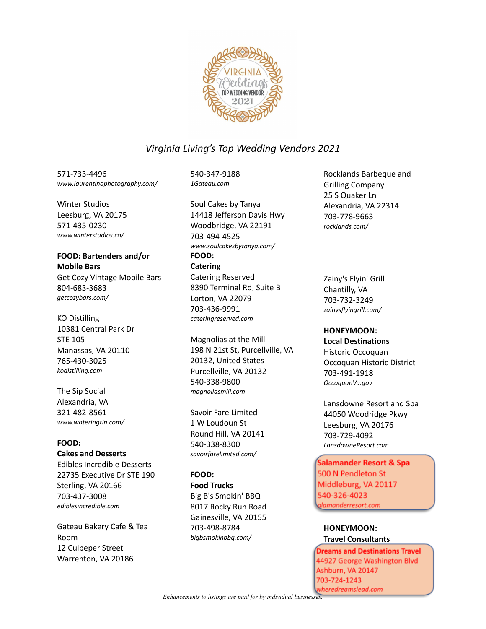

571-733-4496 *www.laurentinaphotography.com/*

Winter Studios Leesburg, VA 20175 571-435-0230 *www.winterstudios.co/*

## **FOOD: Bartenders and/or Mobile Bars** Get Cozy Vintage Mobile Bars 804-683-3683

*getcozybars.com/*

KO Distilling 10381 Central Park Dr STE 105 Manassas, VA 20110 765-430-3025 *kodistilling.com*

The Sip Social Alexandria, VA 321-482-8561 *www.wateringtin.com/*

## **FOOD:**

**Cakes and Desserts**

Edibles Incredible Desserts 22735 Executive Dr STE 190 Sterling, VA 20166 703-437-3008 *ediblesincredible.com*

Gateau Bakery Cafe & Tea Room 12 Culpeper Street Warrenton, VA 20186

540-347-9188 *1Gateau.com*

Soul Cakes by Tanya 14418 Jefferson Davis Hwy Woodbridge, VA 22191 703-494-4525 *www.soulcakesbytanya.com/* **FOOD: Catering** Catering Reserved 8390 Terminal Rd, Suite B Lorton, VA 22079 703-436-9991 *cateringreserved.com*

Magnolias at the Mill 198 N 21st St, Purcellville, VA 20132, United States Purcellville, VA 20132 540-338-9800 *magnoliasmill.com*

Savoir Fare Limited 1 W Loudoun St Round Hill, VA 20141 540-338-8300 *savoirfarelimited.com/*

## **FOOD:**

**Food Trucks** Big B's Smokin' BBQ 8017 Rocky Run Road Gainesville, VA 20155 703-498-8784 *bigbsmokinbbq.com/*

Rocklands Barbeque and Grilling Company 25 S Quaker Ln Alexandria, VA 22314 703-778-9663 *rocklands.com/*

Zainy's Flyin' Grill Chantilly, VA 703-732-3249 *zainysflyingrill.com/*

## **HONEYMOON:**

## **Local Destinations**

Historic Occoquan Occoquan Historic District 703-491-1918 *OccoquanVa.gov*

Lansdowne Resort and Spa 44050 Woodridge Pkwy Leesburg, VA 20176 703-729-4092 *LansdowneResort.com*

Salamander Resort & Spa 500 N Pendleton St Middleburg, VA 20117 540-326-4023 *alamanderresort.com*

**HONEYMOON: Travel Consultants**

Dreams and Destinations Travel 44927 George Washington Blvd Ashburn, VA 20147 703-724-1243 wheredreamslead.com

*Enhancements to listings are paid for by individual businesses.*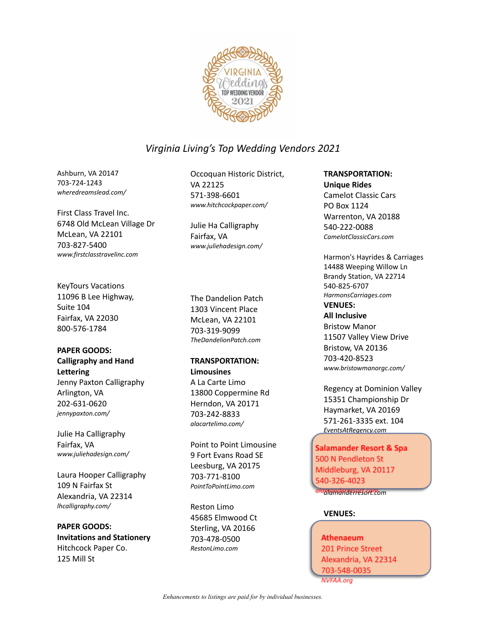

Ashburn, VA 20147 703-724-1243 *wheredreamslead.com/*

First Class Travel Inc. 6748 Old McLean Village Dr McLean, VA 22101 703-827-5400 *www.firstclasstravelinc.com*

KeyTours Vacations 11096 B Lee Highway, Suite 104 Fairfax, VA 22030 800-576-1784

### **PAPER GOODS: Calligraphy and Hand Lettering**

Jenny Paxton Calligraphy Arlington, VA 202-631-0620 *jennypaxton.com/*

Julie Ha Calligraphy Fairfax, VA *www.juliehadesign.com/*

Laura Hooper Calligraphy 109 N Fairfax St Alexandria, VA 22314 *lhcalligraphy.com/*

**PAPER GOODS: Invitations and Stationery** Hitchcock Paper Co. 125 Mill St

Occoquan Historic District, VA 22125 571-398-6601 *www.hitchcockpaper.com/*

Julie Ha Calligraphy Fairfax, VA *www.juliehadesign.com/*

The Dandelion Patch 1303 Vincent Place McLean, VA 22101 703-319-9099 *TheDandelionPatch.com*

#### **TRANSPORTATION: Limousines**

A La Carte Limo 13800 Coppermine Rd Herndon, VA 20171 703-242-8833 *alacartelimo.com/*

Point to Point Limousine 9 Fort Evans Road SE Leesburg, VA 20175 703-771-8100 *PointToPointLimo.com*

Reston Limo 45685 Elmwood Ct Sterling, VA 20166 703-478-0500 *RestonLimo.com*

## **TRANSPORTATION: Unique Rides** Camelot Classic Cars PO Box 1124 Warrenton, VA 20188 540-222-0088

*CamelotClassicCars.com*

Harmon's Hayrides & Carriages 14488 Weeping Willow Ln Brandy Station, VA 22714 540-825-6707 *HarmonsCarriages.com* **VENUES:**

**All Inclusive** Bristow Manor 11507 Valley View Drive Bristow, VA 20136 703-420-8523 *www.bristowmanorgc.com/*

Regency at Dominion Valley 15351 Championship Dr Haymarket, VA 20169 571-261-3335 ext. 104 *EventsAtRegency.com*

Salamander Resort & Spa 500 N Pendleton St Middleburg, VA 20117 540-326-4023 *alamanderresort.com*

## **VENUES:**

Athenaeum 201 Prince Street Alexandria, VA 22314 703-548-0035 NVFAA.org

*Enhancements to listings are paid for by individual businesses.*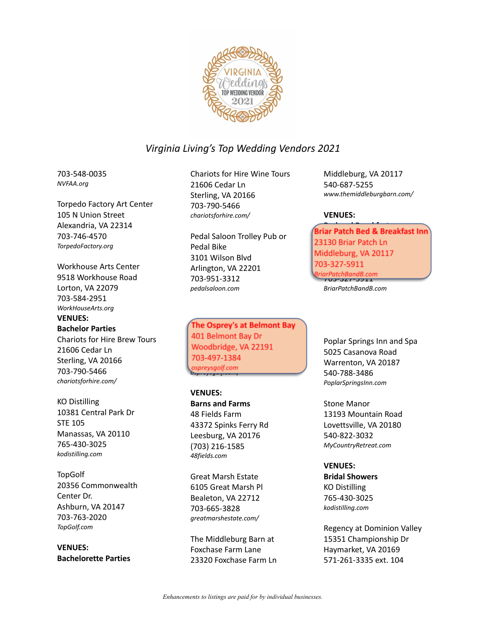

703-548-0035 *NVFAA.org*

Torpedo Factory Art Center 105 N Union Street Alexandria, VA 22314 703-746-4570 *TorpedoFactory.org*

Workhouse Arts Center 9518 Workhouse Road Lorton, VA 22079 703-584-2951 *WorkHouseArts.org* **VENUES:**

#### **Bachelor Parties**

Chariots for Hire Brew Tours 21606 Cedar Ln Sterling, VA 20166 703-790-5466 *chariotsforhire.com/*

KO Distilling 10381 Central Park Dr STE 105 Manassas, VA 20110 765-430-3025 *kodistilling.com*

**TopGolf** 20356 Commonwealth Center Dr. Ashburn, VA 20147 703-763-2020 *TopGolf.com*

**VENUES: Bachelorette Parties** Chariots for Hire Wine Tours 21606 Cedar Ln Sterling, VA 20166 703-790-5466 *chariotsforhire.com/*

Pedal Saloon Trolley Pub or Pedal Bike 3101 Wilson Blvd Arlington, VA 22201 703-951-3312 *pedalsaloon.com*

The Osprey's at Belmont Bay<br>401 Belmont Bay Dr 401 Belmont Bay Dr Woodbridge, VA 22191 703-497-1304 *ospreysgolf.com/*

**VENUES: Barns and Farms** 48 Fields Farm 43372 Spinks Ferry Rd Leesburg, VA 20176 (703) 216-1585 *48fields.com*

Great Marsh Estate 6105 Great Marsh Pl Bealeton, VA 22712 703-665-3828 *greatmarshestate.com/*

The Middleburg Barn at Foxchase Farm Lane 23320 Foxchase Farm Ln Middleburg, VA 20117 540-687-5255 *www.themiddleburgbarn.com/*

#### **VENUES:**

**Bed and Breakfasts** ar Fatch Bed & Breakfast III<br>120 Briar Batch Le 23130 Briar Patch Ln Middleburg, VA 20117<br>703-327-5911 middleburg, Va 2011<br>John Barnetts Va 2011 703-327-5911<br>703-327-5911

*BriarPatchBandB.com*

Poplar Springs Inn and Spa 5025 Casanova Road Warrenton, VA 20187 540-788-3486 *PoplarSpringsInn.com*

Stone Manor 13193 Mountain Road Lovettsville, VA 20180 540-822-3032 *MyCountryRetreat.com*

#### **VENUES:**

**Bridal Showers** KO Distilling 765-430-3025 *kodistilling.com*

Regency at Dominion Valley 15351 Championship Dr Haymarket, VA 20169 571-261-3335 ext. 104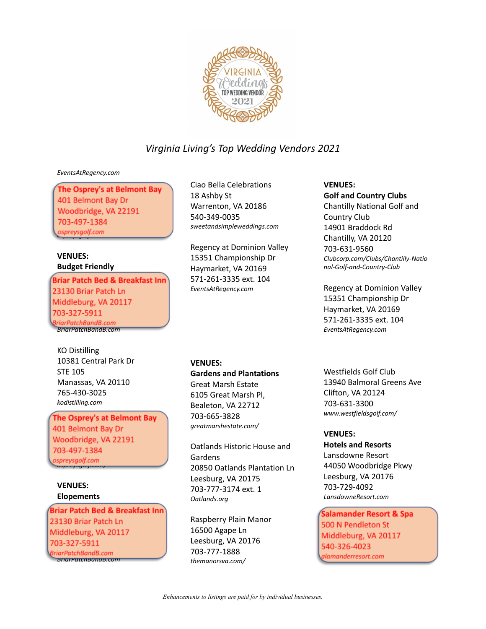

#### *EventsAtRegency.com*

The Osprey's at Belmont Bay 401 Belmont Bay Dr Woodbridge, VA 22191 703-497-1384 *ospreysgolf.com*

### **VENUES: Budget Friendly**

Briar Patch Bed & Breakfast 23130 Briar Patch Ln Middleburg, VA 20117 703-327-5911 riarPatchBandB.com *BriarPatchBandB.com*

KO Distilling 10381 Central Park Dr STE 105 Manassas, VA 20110 765-430-3025 *kodistilling.com*

**The Osprey's at Belmont Bay**<br>401 Belmont Bay Dr 01 Belmont Bay Dr<br>Veedbridge 3747 Woodbridge, VA 22191 03 497-1384<br>commonalf.com *ospreysgolf.com/*

## **VENUES: Elopements**

Briar Patch Bed & Breakfast 23130 Briar Patch Ln Middleburg, VA 20117 703-327-5911 3riarPatchBandB.com *BriarPatchBandB.com*

Ciao Bella Celebrations 18 Ashby St Warrenton, VA 20186 540-349-0035 *sweetandsimpleweddings.com*

Regency at Dominion Valley 15351 Championship Dr Haymarket, VA 20169 571-261-3335 ext. 104 *EventsAtRegency.com*

#### **VENUES:**

**Gardens and Plantations** Great Marsh Estate 6105 Great Marsh Pl,

Bealeton, VA 22712 703-665-3828 *greatmarshestate.com/*

Oatlands Historic House and Gardens 20850 Oatlands Plantation Ln Leesburg, VA 20175 703-777-3174 ext. 1 *Oatlands.org*

Raspberry Plain Manor 16500 Agape Ln Leesburg, VA 20176 703-777-1888 *themanorsva.com/*

**VENUES: Golf and Country Clubs** Chantilly National Golf and Country Club 14901 Braddock Rd Chantilly, VA 20120 703-631-9560 *Clubcorp.com/Clubs/Chantilly-Natio nal-Golf-and-Country-Club*

Regency at Dominion Valley 15351 Championship Dr Haymarket, VA 20169 571-261-3335 ext. 104 *EventsAtRegency.com*

Westfields Golf Club 13940 Balmoral Greens Ave Clifton, VA 20124 703-631-3300 *www.westfieldsgolf.com/*

## **VENUES:**

**Hotels and Resorts** Lansdowne Resort 44050 Woodbridge Pkwy Leesburg, VA 20176 703-729-4092 *LansdowneResort.com*

Salamander Resort & Spa 500 N Pendleton St Middleburg, VA 20117 540-326-4023 *alamanderresort.com*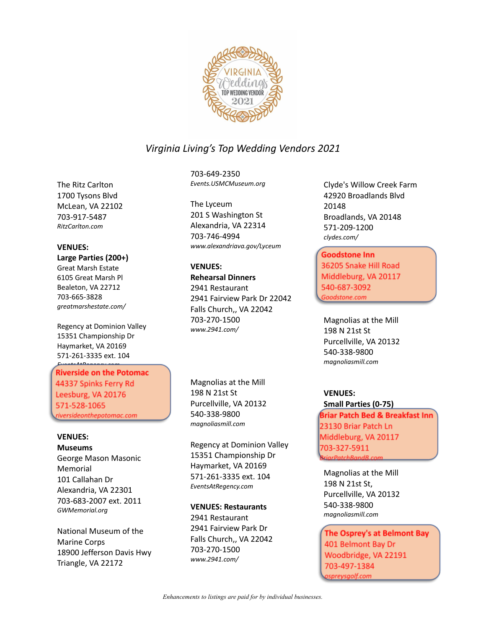

The Ritz Carlton 1700 Tysons Blvd McLean, VA 22102 703-917-5487 *RitzCarlton.com*

### **VENUES:**

**Large Parties (200+)** Great Marsh Estate 6105 Great Marsh Pl Bealeton, VA 22712 703-665-3828

*greatmarshestate.com/* Regency at Dominion Valley 15351 Championship Dr Haymarket, VA 20169

571-261-3335 ext. 104

*EventsAtRegency.com* Riverside on the Potomac 44337 Spinks Ferry Rd Leesburg, VA 20176 571-528-1065 *riversideonthepotomac.com/*

#### **VENUES:**

**Museums** George Mason Masonic Memorial 101 Callahan Dr Alexandria, VA 22301 703-683-2007 ext. 2011 *GWMemorial.org*

National Museum of the Marine Corps 18900 Jefferson Davis Hwy Triangle, VA 22172

703-649-2350 *Events.USMCMuseum.org*

The Lyceum 201 S Washington St Alexandria, VA 22314 703-746-4994 *www.alexandriava.gov/Lyceum*

## **VENUES:**

**Rehearsal Dinners** 2941 Restaurant 2941 Fairview Park Dr 22042 Falls Church,, VA 22042 703-270-1500 *www.2941.com/*

Magnolias at the Mill 198 N 21st St Purcellville, VA 20132 540-338-9800 *magnoliasmill.com*

Regency at Dominion Valley 15351 Championship Dr Haymarket, VA 20169 571-261-3335 ext. 104 *EventsAtRegency.com*

## **VENUES: Restaurants**

2941 Restaurant 2941 Fairview Park Dr Falls Church,, VA 22042 703-270-1500 *www.2941.com/*

Clyde's Willow Creek Farm 42920 Broadlands Blvd 20148 Broadlands, VA 20148 571-209-1200 *clydes.com/*

Goodstone Inn 36205 Snake Hill Road Middleburg, VA 20117 540-687-3092 *Goodstone.com*

Magnolias at the Mill 198 N 21st St Purcellville, VA 20132 540-338-9800 *magnoliasmill.com*

## **VENUES:**

**Small Parties (0-75)** Briar Patch Bed & Breakfast Inn 23130 Briar Patch Ln Middleburg, VA 20117 703-327-5911 *BriarPatchBandB.com*

Magnolias at the Mill 198 N 21st St, Purcellville, VA 20132 540-338-9800 *magnoliasmill.com*

The Osprey's at Belmont Bay 401 Belmont Bay Dr Woodbridge, VA 22191 ospreysgolf.com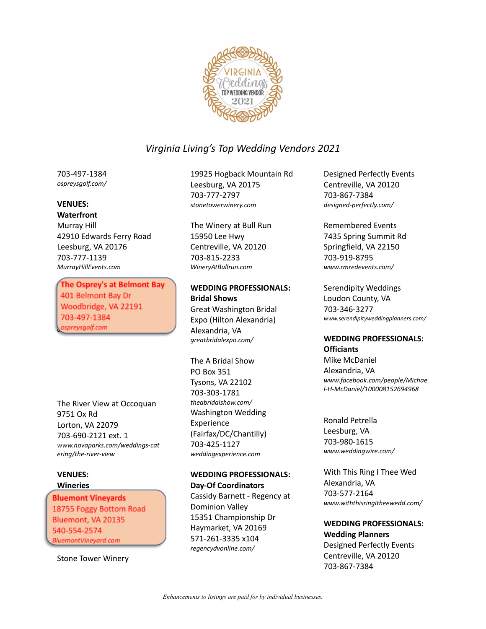

703-497-1384 *ospreysgolf.com/*

### **VENUES:**

## **Waterfront**

Murray Hill 42910 Edwards Ferry Road Leesburg, VA 20176 703-777-1139 *MurrayHillEvents.com*

The Osprey's at Belmont Bay 401 Belmont Bay Dr Woodbridge, VA 22191 703-497-1384 *ospreysgolf.com/*

The River View at Occoquan 9751 Ox Rd Lorton, VA 22079 703-690-2121 ext. 1 *www.novaparks.com/weddings-cat ering/the-river-view*

### **VENUES: Wineries**

Bluemont Vineyards 18755 Foggy Bottom Road Bluemont, VA 20135 540-554-2574 *BluemontVineyard.com*

Stone Tower Winery

19925 Hogback Mountain Rd Leesburg, VA 20175 703-777-2797 *stonetowerwinery.com*

The Winery at Bull Run 15950 Lee Hwy Centreville, VA 20120 703-815-2233 *WineryAtBullrun.com*

## **WEDDING PROFESSIONALS: Bridal Shows**

Great Washington Bridal Expo (Hilton Alexandria) Alexandria, VA *greatbridalexpo.com/*

The A Bridal Show PO Box 351 Tysons, VA 22102 703-303-1781 *theabridalshow.com/* Washington Wedding Experience (Fairfax/DC/Chantilly) 703-425-1127 *weddingexperience.com*

## **WEDDING PROFESSIONALS: Day-Of Coordinators**

Cassidy Barnett - Regency at Dominion Valley 15351 Championship Dr Haymarket, VA 20169 571-261-3335 x104 *regencydvonline.com/*

Designed Perfectly Events Centreville, VA 20120 703-867-7384 *designed-perfectly.com/*

Remembered Events 7435 Spring Summit Rd Springfield, VA 22150 703-919-8795 *www.rmredevents.com/*

Serendipity Weddings Loudon County, VA 703-346-3277 *www.serendipityweddingplanners.com/*

## **WEDDING PROFESSIONALS: Officiants**

Mike McDaniel Alexandria, VA *www.facebook.com/people/Michae l-H-McDaniel/100008152694968*

Ronald Petrella Leesburg, VA 703-980-1615 *www.weddingwire.com/*

With This Ring I Thee Wed Alexandria, VA 703-577-2164 *www.withthisringitheewedd.com/*

#### **WEDDING PROFESSIONALS: Wedding Planners**

Designed Perfectly Events Centreville, VA 20120 703-867-7384